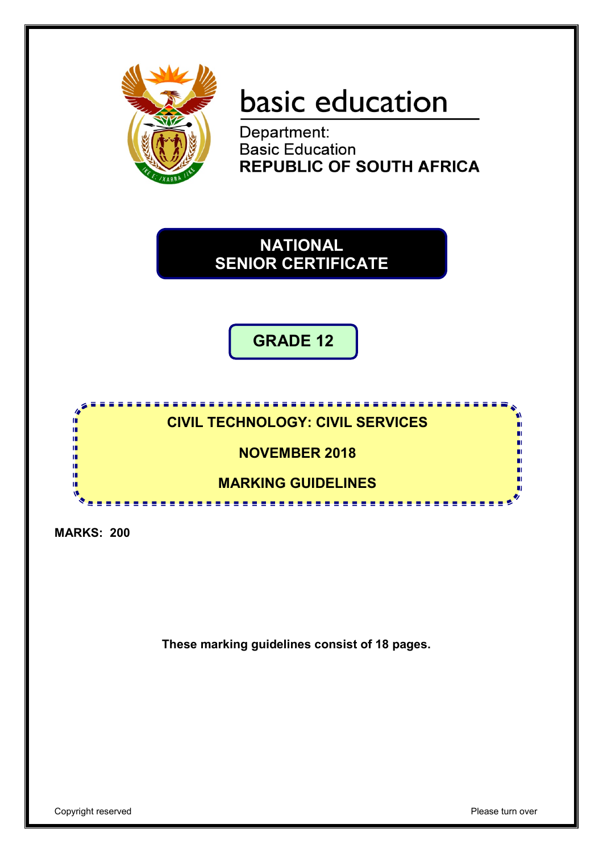

# basic education

Department:<br>Basic Education **REPUBLIC OF SOUTH AFRICA** 

**NATIONAL SENIOR CERTIFICATE**

**GRADE 12**

**CIVIL TECHNOLOGY: CIVIL SERVICES**

**NOVEMBER 2018**

**MARKING GUIDELINES**

. . . . . . . . . . . . . .

**MARKS: 200**

ú т'n ш ıŕ

т

**These marking guidelines consist of 18 pages.**

п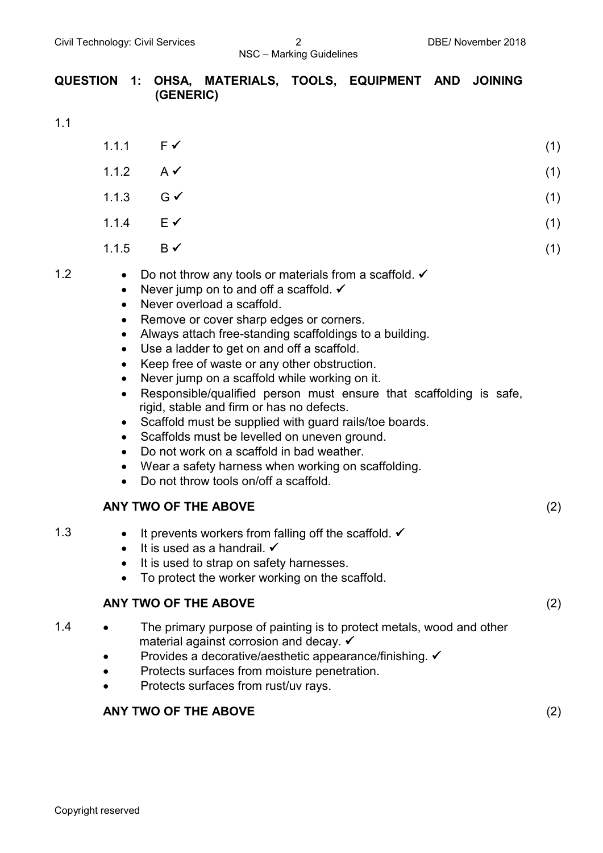#### **QUESTION 1: OHSA, MATERIALS, TOOLS, EQUIPMENT AND JOINING (GENERIC)**

1.1

|     | 1.1.1                                                                                                                                                    | $F \checkmark$                                                                                                                                                                                                                                                                                                                                                                                                                                                                                                                                                                                                                                                                                                                                                                     | (1) |
|-----|----------------------------------------------------------------------------------------------------------------------------------------------------------|------------------------------------------------------------------------------------------------------------------------------------------------------------------------------------------------------------------------------------------------------------------------------------------------------------------------------------------------------------------------------------------------------------------------------------------------------------------------------------------------------------------------------------------------------------------------------------------------------------------------------------------------------------------------------------------------------------------------------------------------------------------------------------|-----|
|     | 1.1.2                                                                                                                                                    | $A \checkmark$                                                                                                                                                                                                                                                                                                                                                                                                                                                                                                                                                                                                                                                                                                                                                                     | (1) |
|     | 1.1.3                                                                                                                                                    | $G \checkmark$                                                                                                                                                                                                                                                                                                                                                                                                                                                                                                                                                                                                                                                                                                                                                                     | (1) |
|     | 1.1.4                                                                                                                                                    | $E \checkmark$                                                                                                                                                                                                                                                                                                                                                                                                                                                                                                                                                                                                                                                                                                                                                                     | (1) |
|     | 1.1.5                                                                                                                                                    | $B \checkmark$                                                                                                                                                                                                                                                                                                                                                                                                                                                                                                                                                                                                                                                                                                                                                                     | (1) |
| 1.2 | $\bullet$<br>$\bullet$<br>$\bullet$<br>$\bullet$<br>$\bullet$<br>$\bullet$<br>$\bullet$<br>$\bullet$<br>$\bullet$<br>$\bullet$<br>$\bullet$<br>$\bullet$ | Do not throw any tools or materials from a scaffold. $\checkmark$<br>Never jump on to and off a scaffold. $\checkmark$<br>Never overload a scaffold.<br>Remove or cover sharp edges or corners.<br>Always attach free-standing scaffoldings to a building.<br>Use a ladder to get on and off a scaffold.<br>Keep free of waste or any other obstruction.<br>Never jump on a scaffold while working on it.<br>Responsible/qualified person must ensure that scaffolding is safe,<br>rigid, stable and firm or has no defects.<br>Scaffold must be supplied with guard rails/toe boards.<br>Scaffolds must be levelled on uneven ground.<br>Do not work on a scaffold in bad weather.<br>Wear a safety harness when working on scaffolding.<br>Do not throw tools on/off a scaffold. |     |
|     |                                                                                                                                                          | ANY TWO OF THE ABOVE                                                                                                                                                                                                                                                                                                                                                                                                                                                                                                                                                                                                                                                                                                                                                               | (2) |
| 1.3 | $\bullet$<br>$\bullet$<br>$\bullet$<br>٠                                                                                                                 | It prevents workers from falling off the scaffold. $\checkmark$<br>It is used as a handrail. $\checkmark$<br>It is used to strap on safety harnesses.<br>To protect the worker working on the scaffold.                                                                                                                                                                                                                                                                                                                                                                                                                                                                                                                                                                            |     |

#### **ANY TWO OF THE ABOVE** (2)

- 1.4 The primary purpose of painting is to protect metals, wood and other material against corrosion and decay.
	- Provides a decorative/aesthetic appearance/finishing.  $\checkmark$
	- Protects surfaces from moisture penetration.
	- Protects surfaces from rust/uv rays.

#### **ANY TWO OF THE ABOVE** (2)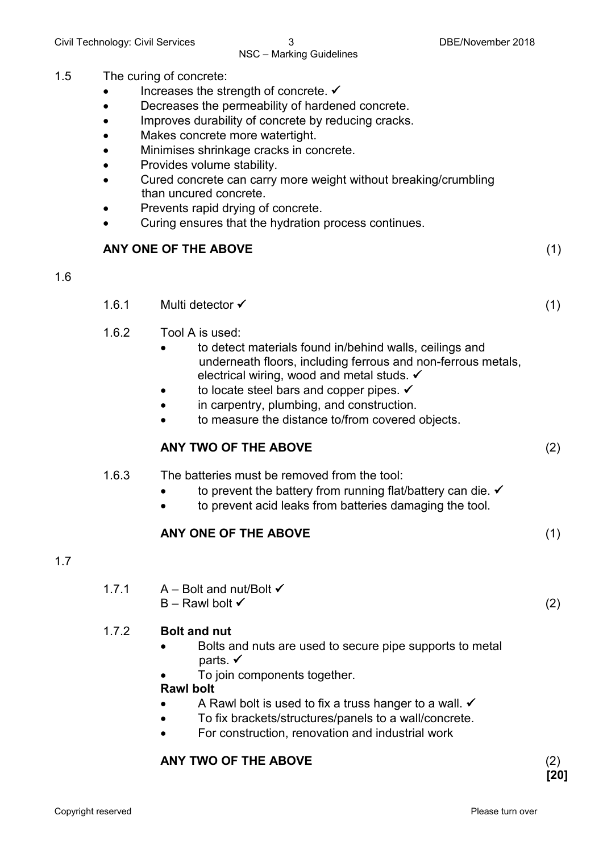#### 1.5 The curing of concrete:

- Increases the strength of concrete.  $\checkmark$
- Decreases the permeability of hardened concrete.
- Improves durability of concrete by reducing cracks.
- Makes concrete more watertight.
- Minimises shrinkage cracks in concrete.
- Provides volume stability.
- Cured concrete can carry more weight without breaking/crumbling than uncured concrete.
- Prevents rapid drying of concrete.
- Curing ensures that the hydration process continues.

#### **ANY ONE OF THE ABOVE** (1)

#### 1.6

- 1.6.1 Multi detector (1)
- 1.6.2 Tool A is used:
	- to detect materials found in/behind walls, ceilings and underneath floors, including ferrous and non-ferrous metals, electrical wiring, wood and metal studs.  $\checkmark$
	- to locate steel bars and copper pipes.  $\checkmark$
	- in carpentry, plumbing, and construction.
	- to measure the distance to/from covered objects.

#### **ANY TWO OF THE ABOVE** (2)

- 1.6.3 The batteries must be removed from the tool:
	- to prevent the battery from running flat/battery can die.  $\checkmark$
	- to prevent acid leaks from batteries damaging the tool.

#### **ANY ONE OF THE ABOVE** (1)

#### 1.7

1.7.1  $A - Bolt$  and nut/Bolt  $\checkmark$  $B -$ Rawl bolt  $\checkmark$  (2)

#### 1.7.2 **Bolt and nut**

- Bolts and nuts are used to secure pipe supports to metal parts.  $\checkmark$
- To join components together.

#### **Rawl bolt**

- A Rawl bolt is used to fix a truss hanger to a wall.  $\checkmark$
- To fix brackets/structures/panels to a wall/concrete.
- For construction, renovation and industrial work

#### **ANY TWO OF THE ABOVE** (2)

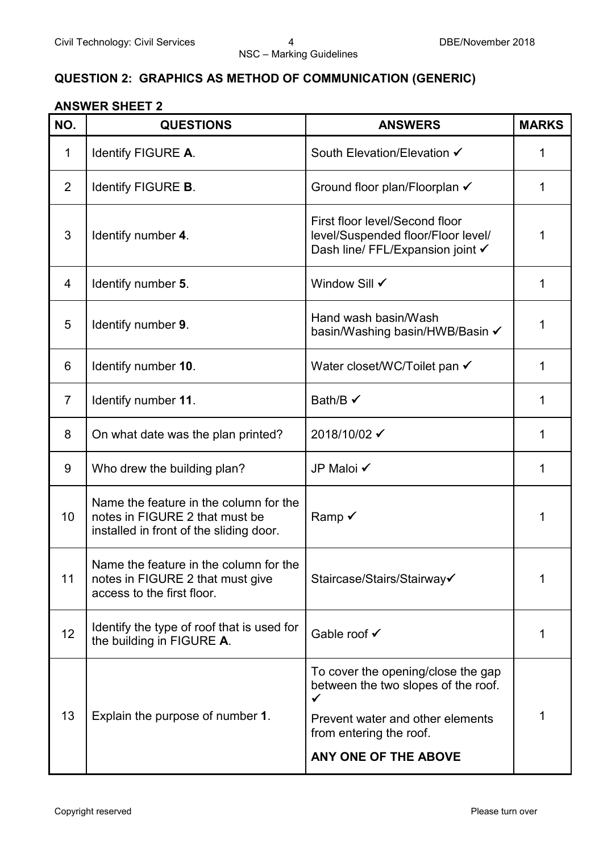#### **QUESTION 2: GRAPHICS AS METHOD OF COMMUNICATION (GENERIC)**

#### **ANSWER SHEET 2**

| NO.            | <b>QUESTIONS</b>                                                                                                    | <b>ANSWERS</b>                                                                                                                                                        | <b>MARKS</b> |
|----------------|---------------------------------------------------------------------------------------------------------------------|-----------------------------------------------------------------------------------------------------------------------------------------------------------------------|--------------|
| $\mathbf 1$    | Identify FIGURE A.                                                                                                  | South Elevation/Elevation ✔                                                                                                                                           | 1            |
| 2              | Identify FIGURE <b>B</b> .                                                                                          | Ground floor plan/Floorplan ✔                                                                                                                                         | 1            |
| 3              | Identify number 4.                                                                                                  | First floor level/Second floor<br>level/Suspended floor/Floor level/<br>Dash line/ FFL/Expansion joint √                                                              | 1            |
| 4              | Identify number 5.                                                                                                  | Window Sill √                                                                                                                                                         | 1            |
| 5              | Identify number 9.                                                                                                  | Hand wash basin/Wash<br>basin/Washing basin/HWB/Basin ✔                                                                                                               | 1            |
| 6              | Identify number 10.                                                                                                 | Water closet/WC/Toilet pan √                                                                                                                                          | 1            |
| $\overline{7}$ | Identify number 11.                                                                                                 | Bath/B $\checkmark$                                                                                                                                                   | 1            |
| 8              | On what date was the plan printed?                                                                                  | 2018/10/02 ✔                                                                                                                                                          | 1            |
| 9              | Who drew the building plan?                                                                                         | JP Maloi √                                                                                                                                                            | 1            |
| 10             | Name the feature in the column for the<br>notes in FIGURE 2 that must be<br>installed in front of the sliding door. | Ramp $\checkmark$                                                                                                                                                     | 1            |
| 11             | Name the feature in the column for the<br>notes in FIGURE 2 that must give<br>access to the first floor.            | Staircase/Stairs/Stairway√                                                                                                                                            | 1            |
| 12             | Identify the type of roof that is used for<br>the building in FIGURE A.                                             | Gable roof √                                                                                                                                                          | 1            |
| 13             | Explain the purpose of number 1.                                                                                    | To cover the opening/close the gap<br>between the two slopes of the roof.<br>✓<br>Prevent water and other elements<br>from entering the roof.<br>ANY ONE OF THE ABOVE |              |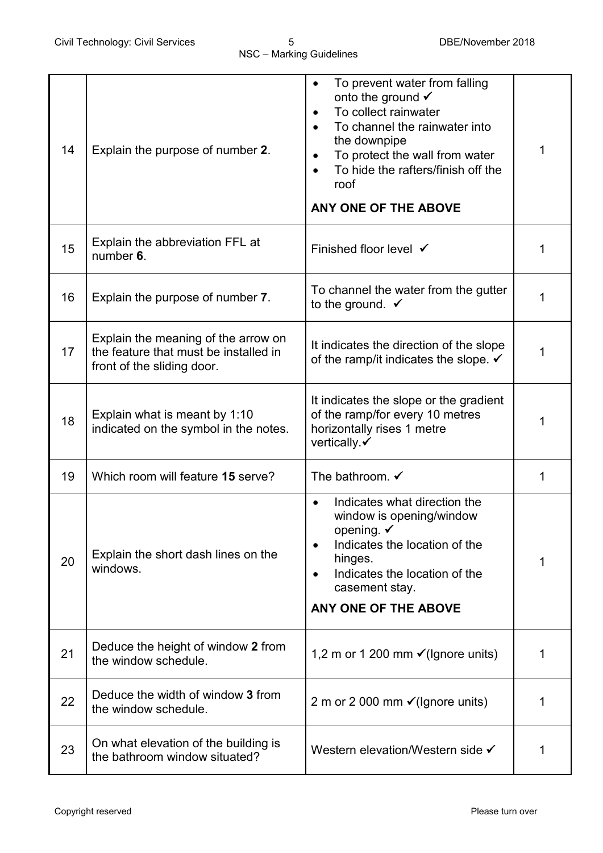| 14 | Explain the purpose of number 2.                                                                           | To prevent water from falling<br>$\bullet$<br>onto the ground $\checkmark$<br>To collect rainwater<br>To channel the rainwater into<br>the downpipe<br>To protect the wall from water<br>$\bullet$<br>To hide the rafters/finish off the<br>$\bullet$<br>roof<br>ANY ONE OF THE ABOVE | 1 |
|----|------------------------------------------------------------------------------------------------------------|---------------------------------------------------------------------------------------------------------------------------------------------------------------------------------------------------------------------------------------------------------------------------------------|---|
| 15 | Explain the abbreviation FFL at<br>number 6.                                                               | Finished floor level √                                                                                                                                                                                                                                                                | 1 |
| 16 | Explain the purpose of number 7.                                                                           | To channel the water from the gutter<br>to the ground. $\checkmark$                                                                                                                                                                                                                   | 1 |
| 17 | Explain the meaning of the arrow on<br>the feature that must be installed in<br>front of the sliding door. | It indicates the direction of the slope<br>of the ramp/it indicates the slope. $\checkmark$                                                                                                                                                                                           | 1 |
| 18 | Explain what is meant by 1:10<br>indicated on the symbol in the notes.                                     | It indicates the slope or the gradient<br>of the ramp/for every 10 metres<br>horizontally rises 1 metre<br>vertically $\checkmark$                                                                                                                                                    | 1 |
| 19 | Which room will feature 15 serve?                                                                          | The bathroom. $\checkmark$                                                                                                                                                                                                                                                            | 1 |
| 20 | Explain the short dash lines on the<br>windows.                                                            | Indicates what direction the<br>window is opening/window<br>opening. $\checkmark$<br>Indicates the location of the<br>$\bullet$<br>hinges.<br>Indicates the location of the<br>casement stay.<br>ANY ONE OF THE ABOVE                                                                 | 1 |
| 21 | Deduce the height of window 2 from<br>the window schedule.                                                 | 1,2 m or 1 200 mm $\checkmark$ (Ignore units)                                                                                                                                                                                                                                         | 1 |
| 22 | Deduce the width of window 3 from<br>the window schedule.                                                  | 2 m or 2 000 mm $\checkmark$ (Ignore units)                                                                                                                                                                                                                                           | 1 |
| 23 | On what elevation of the building is<br>the bathroom window situated?                                      | Western elevation/Western side ✔                                                                                                                                                                                                                                                      | 1 |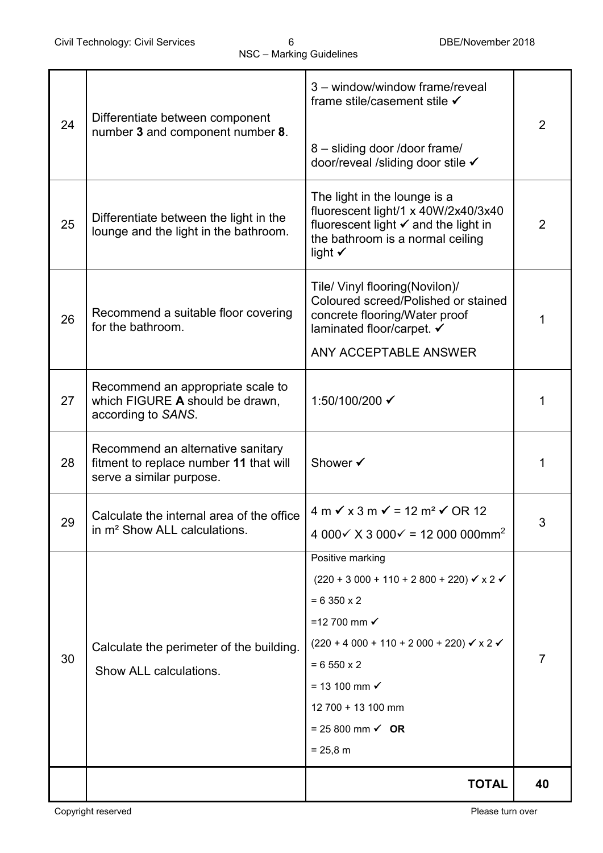|    |                                                                                 | 3 - window/window frame/reveal<br>frame stile/casement stile √                      |                |  |
|----|---------------------------------------------------------------------------------|-------------------------------------------------------------------------------------|----------------|--|
| 24 | Differentiate between component                                                 |                                                                                     | $\overline{2}$ |  |
|    | number 3 and component number 8.                                                | 8 - sliding door /door frame/                                                       |                |  |
|    |                                                                                 | door/reveal /sliding door stile ✔                                                   |                |  |
|    |                                                                                 |                                                                                     |                |  |
|    |                                                                                 | The light in the lounge is a<br>fluorescent light/1 x 40W/2x40/3x40                 |                |  |
| 25 | Differentiate between the light in the<br>lounge and the light in the bathroom. | fluorescent light $\checkmark$ and the light in<br>the bathroom is a normal ceiling | 2              |  |
|    |                                                                                 | light $\checkmark$                                                                  |                |  |
|    |                                                                                 | Tile/ Vinyl flooring(Novilon)/                                                      |                |  |
|    |                                                                                 | Coloured screed/Polished or stained                                                 |                |  |
| 26 | Recommend a suitable floor covering<br>for the bathroom.                        | concrete flooring/Water proof<br>laminated floor/carpet. ✔                          | 1              |  |
|    |                                                                                 | ANY ACCEPTABLE ANSWER                                                               |                |  |
|    |                                                                                 |                                                                                     |                |  |
| 27 | Recommend an appropriate scale to<br>which FIGURE A should be drawn,            | 1:50/100/200 ✔                                                                      | 1              |  |
|    | according to SANS.                                                              |                                                                                     |                |  |
|    | Recommend an alternative sanitary                                               |                                                                                     |                |  |
| 28 | fitment to replace number 11 that will                                          | Shower √                                                                            | 1              |  |
|    | serve a similar purpose.                                                        |                                                                                     |                |  |
| 29 | Calculate the internal area of the office                                       | $4 m \checkmark$ x 3 m $\checkmark$ = 12 m <sup>2</sup> $\checkmark$ OR 12          | 3              |  |
|    | in m <sup>2</sup> Show ALL calculations.                                        | 4 000 $\times$ X 3 000 $\times$ = 12 000 000mm <sup>2</sup>                         |                |  |
|    |                                                                                 | Positive marking                                                                    |                |  |
|    |                                                                                 | $(220 + 3000 + 110 + 2800 + 220)$ $\checkmark$ x 2 $\checkmark$                     |                |  |
|    |                                                                                 | $= 6350 \times 2$                                                                   |                |  |
|    |                                                                                 | =12 700 mm $\checkmark$                                                             |                |  |
| 30 | Calculate the perimeter of the building.                                        | $(220 + 4000 + 110 + 2000 + 220)$ $\checkmark$ x 2 $\checkmark$                     | 7              |  |
|    | Show ALL calculations.                                                          | $= 6550 \times 2$                                                                   |                |  |
|    |                                                                                 | $= 13 100$ mm $\checkmark$                                                          |                |  |
|    |                                                                                 | 12 700 + 13 100 mm                                                                  |                |  |
|    |                                                                                 | = 25 800 mm $\checkmark$ OR                                                         |                |  |
|    |                                                                                 | $= 25,8 \, \text{m}$                                                                |                |  |
|    |                                                                                 | <b>TOTAL</b>                                                                        | 40             |  |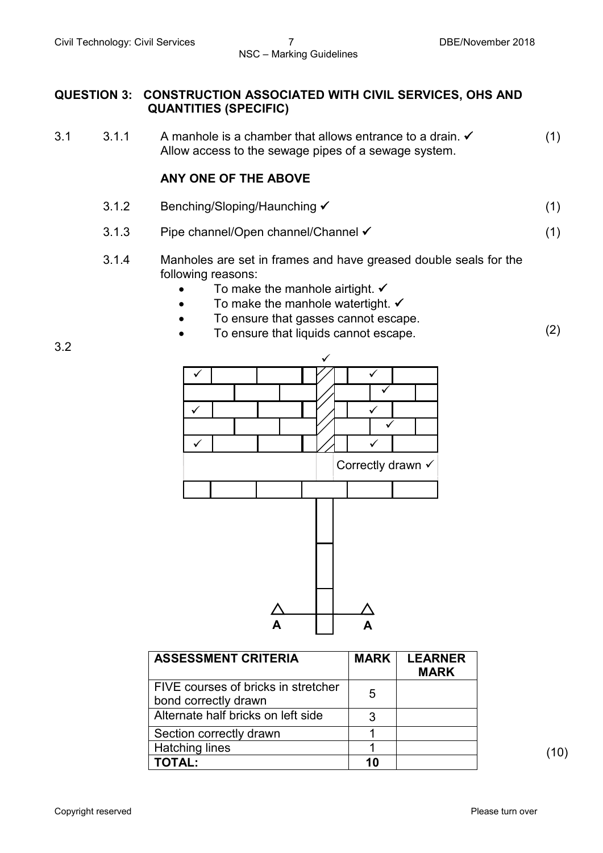#### **QUESTION 3: CONSTRUCTION ASSOCIATED WITH CIVIL SERVICES, OHS AND QUANTITIES (SPECIFIC)**

3.1  $3.1 \times 1$  A manhole is a chamber that allows entrance to a drain.  $\checkmark$ Allow access to the sewage pipes of a sewage system. (1)

#### **ANY ONE OF THE ABOVE**

- 3.1.2 Benching/Sloping/Haunching <del>V</del> (1)
- 3.1.3 Pipe channel/Open channel/Channel (1)
- 3.1.4 Manholes are set in frames and have greased double seals for the following reasons:
	- To make the manhole airtight.  $\checkmark$
	- To make the manhole watertight.  $\checkmark$
	- To ensure that gasses cannot escape.
	- To ensure that liquids cannot escape. (2)

 $\big($  $\checkmark$ **A √ √**  $\overline{\checkmark}$  $\checkmark$  $\checkmark$  $\checkmark$  $\overline{\checkmark}$  $\checkmark$  $\checkmark$  $\checkmark$ **A** Correctly drawn √

| <b>ASSESSMENT CRITERIA</b>                                  | <b>MARK</b> | <b>LEARNER</b><br><b>MARK</b> |  |
|-------------------------------------------------------------|-------------|-------------------------------|--|
| FIVE courses of bricks in stretcher<br>bond correctly drawn | 5           |                               |  |
| Alternate half bricks on left side                          | 3           |                               |  |
| Section correctly drawn                                     |             |                               |  |
| Hatching lines                                              |             |                               |  |
| TOTAL:                                                      | 10          |                               |  |

3.2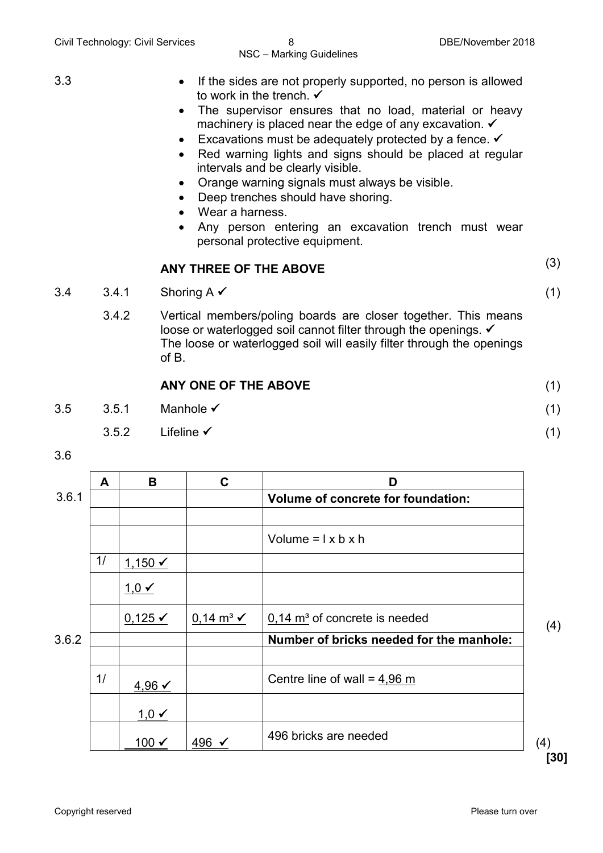- 3.3 If the sides are not properly supported, no person is allowed to work in the trench.  $\checkmark$ 
	- The supervisor ensures that no load, material or heavy machinery is placed near the edge of any excavation.  $\checkmark$
	- Excavations must be adequately protected by a fence.  $\checkmark$
	- Red warning lights and signs should be placed at regular intervals and be clearly visible.
	- Orange warning signals must always be visible.
	- Deep trenches should have shoring.
	- Wear a harness.
	- Any person entering an excavation trench must wear personal protective equipment.

### **ANY THREE OF THE ABOVE** (3)

- $3.4$   $3.4.1$  Shoring A  $\checkmark$  (1)
- - 3.4.2 Vertical members/poling boards are closer together. This means loose or waterlogged soil cannot filter through the openings. ✓ The loose or waterlogged soil will easily filter through the openings of B.

| ANY ONE OF THE ABOVE |  |  |  |
|----------------------|--|--|--|
|----------------------|--|--|--|

- $3.5 \hspace{1cm} 3.5.1 \hspace{1cm}$  Manhole  $\checkmark$  (1)
	- $3.5.2$  Lifeline  $\checkmark$  (1)
- 3.6

|       | A  | B                    | C                               | D                                           |     |
|-------|----|----------------------|---------------------------------|---------------------------------------------|-----|
| 3.6.1 |    |                      |                                 | Volume of concrete for foundation:          |     |
|       |    |                      |                                 |                                             |     |
|       |    |                      |                                 | Volume = $1 \times b \times h$              |     |
|       | 1/ | $1,150$ $\checkmark$ |                                 |                                             |     |
|       |    | $1,0 \vee$           |                                 |                                             |     |
|       |    | $0,125 \checkmark$   | $0,14 \text{ m}^3$ $\checkmark$ | $0.14$ m <sup>3</sup> of concrete is needed | (4) |
| 3.6.2 |    |                      |                                 | Number of bricks needed for the manhole:    |     |
|       | 1/ | $4,96$ ✓             |                                 | Centre line of wall = $4,96$ m              |     |
|       |    | $1,0 \checkmark$     |                                 |                                             |     |
|       |    | 100 $\checkmark$     | 496 ✔                           | 496 bricks are needed                       | (4) |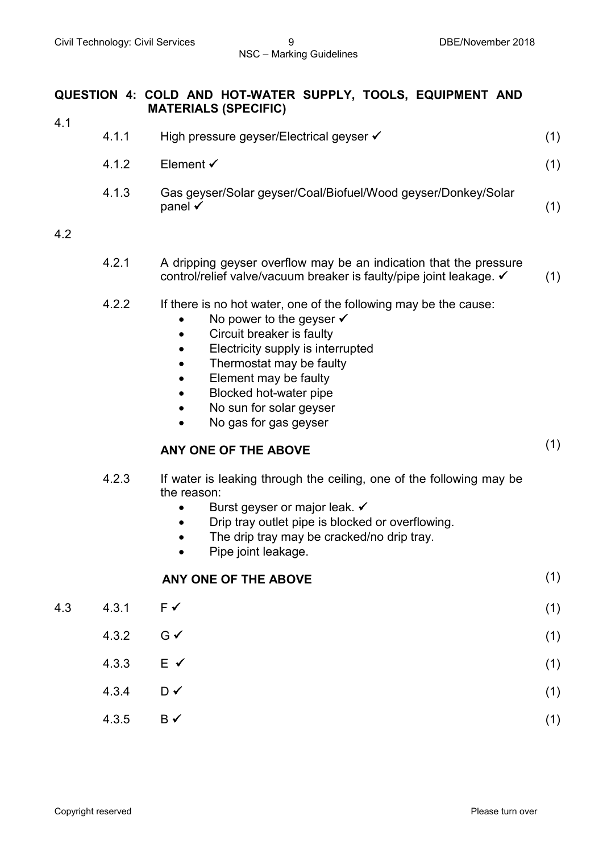#### **QUESTION 4: COLD AND HOT-WATER SUPPLY, TOOLS, EQUIPMENT AND MATERIALS (SPECIFIC)**

| 4.1.1 | High pressure geyser/Electrical geyser ✔                                            |  |
|-------|-------------------------------------------------------------------------------------|--|
| 4.1.2 | Element $\checkmark$                                                                |  |
| 4.1.3 | Gas geyser/Solar geyser/Coal/Biofuel/Wood geyser/Donkey/Solar<br>panel $\checkmark$ |  |

#### 4.2

4.1

| 4.2.1 | A dripping geyser overflow may be an indication that the pressure   |     |
|-------|---------------------------------------------------------------------|-----|
|       | control/relief valve/vacuum breaker is faulty/pipe joint leakage. ✓ | (1) |

- 4.2.2 If there is no hot water, one of the following may be the cause:
	- No power to the geyser  $\checkmark$
	- Circuit breaker is faulty
	- Electricity supply is interrupted
	- Thermostat may be faulty
	- Element may be faulty
	- Blocked hot-water pipe
	- No sun for solar geyser
	- No gas for gas geyser

### **ANY ONE OF THE ABOVE** (1)

- 4.2.3 If water is leaking through the ceiling, one of the following may be the reason:
	- Burst geyser or major leak.  $\checkmark$
	- Drip tray outlet pipe is blocked or overflowing.
	- The drip tray may be cracked/no drip tray.
	- Pipe joint leakage.

#### **ANY ONE OF THE ABOVE** (1)

- $4.3 \t 4.3.1 \t F \t (1)$  $4.3.2$  G  $\checkmark$  (1) 4.3.3 E  $\checkmark$  (1)
	- $4.3.4$  D  $\checkmark$  (1)
	- $4.3.5$  B  $\checkmark$  (1)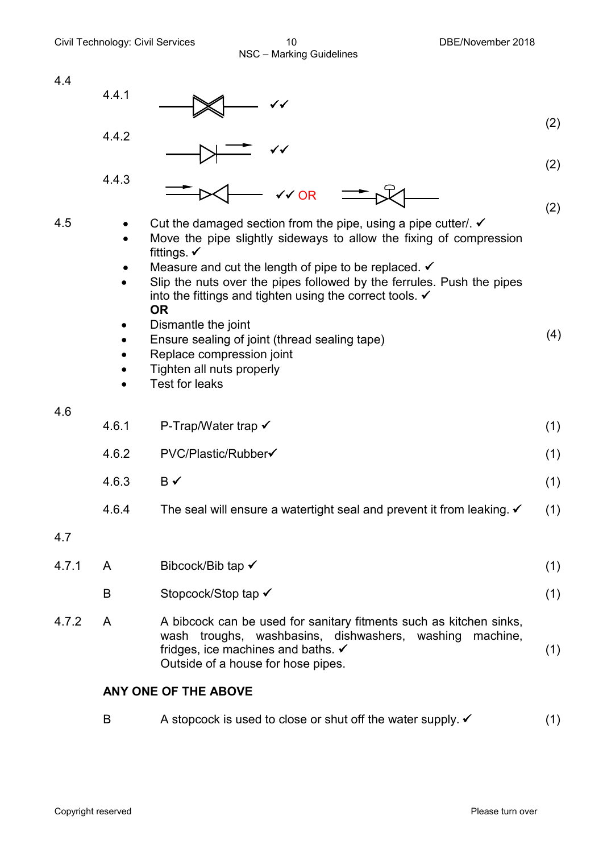4.4 4.4.1 (2) 4.4.2 (2) 4.4.3 (2) 4.5 • Cut the damaged section from the pipe, using a pipe cutter/.  $\checkmark$ • Move the pipe slightly sideways to allow the fixing of compression fittings.  $\checkmark$ Measure and cut the length of pipe to be replaced.  $\checkmark$ • Slip the nuts over the pipes followed by the ferrules. Push the pipes into the fittings and tighten using the correct tools.  $\checkmark$ **OR** • Dismantle the joint • Ensure sealing of joint (thread sealing tape) • Replace compression joint • Tighten all nuts properly • Test for leaks (4) 4.6 4.6.1 P-Trap/Water trap  $\checkmark$  (1) 4.6.2 PVC/Plastic/Rubber (1) (1)  $4.6.3$  B  $\checkmark$  (1) 4.6.4 The seal will ensure a watertight seal and prevent it from leaking.  $\checkmark$  (1) 4.7 4.7.1 A Bibcock/Bib tap  $\checkmark$  (1) B Stopcock/Stop tap  $\checkmark$  (1) 4.7.2 A A bibcock can be used for sanitary fitments such as kitchen sinks,  $\checkmark$  $\checkmark$  $\checkmark$  OR

wash troughs, washbasins, dishwashers, washing machine, fridges, ice machines and baths.  $\checkmark$ Outside of a house for hose pipes. (1)

#### **ANY ONE OF THE ABOVE**

B A stopcock is used to close or shut off the water supply.  $\checkmark$  (1)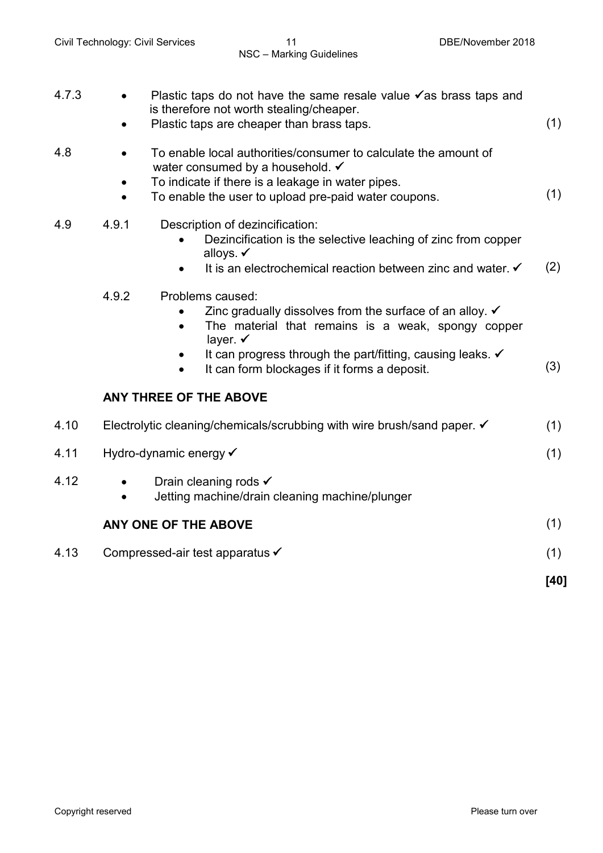| 4.7.3 | Plastic taps do not have the same resale value $\checkmark$ as brass taps and<br>is therefore not worth stealing/cheaper.<br>Plastic taps are cheaper than brass taps.                                                                                                                      | (1)  |
|-------|---------------------------------------------------------------------------------------------------------------------------------------------------------------------------------------------------------------------------------------------------------------------------------------------|------|
| 4.8   | To enable local authorities/consumer to calculate the amount of<br>water consumed by a household. ✔<br>To indicate if there is a leakage in water pipes.<br>$\bullet$<br>To enable the user to upload pre-paid water coupons.<br>$\bullet$                                                  | (1)  |
| 4.9   | 4.9.1<br>Description of dezincification:<br>Dezincification is the selective leaching of zinc from copper<br>alloys. ✓<br>It is an electrochemical reaction between zinc and water. ✔                                                                                                       | (2)  |
|       | 4.9.2<br>Problems caused:<br>Zinc gradually dissolves from the surface of an alloy. $\checkmark$<br>The material that remains is a weak, spongy copper<br>layer. $\checkmark$<br>It can progress through the part/fitting, causing leaks. ✓<br>It can form blockages if it forms a deposit. | (3)  |
|       | <b>ANY THREE OF THE ABOVE</b>                                                                                                                                                                                                                                                               |      |
| 4.10  | Electrolytic cleaning/chemicals/scrubbing with wire brush/sand paper. √                                                                                                                                                                                                                     | (1)  |
| 4.11  | Hydro-dynamic energy ✔                                                                                                                                                                                                                                                                      | (1)  |
| 4.12  | Drain cleaning rods √<br>Jetting machine/drain cleaning machine/plunger                                                                                                                                                                                                                     |      |
|       | ANY ONE OF THE ABOVE                                                                                                                                                                                                                                                                        | (1)  |
| 4.13  | Compressed-air test apparatus <del>V</del>                                                                                                                                                                                                                                                  | (1)  |
|       |                                                                                                                                                                                                                                                                                             | [40] |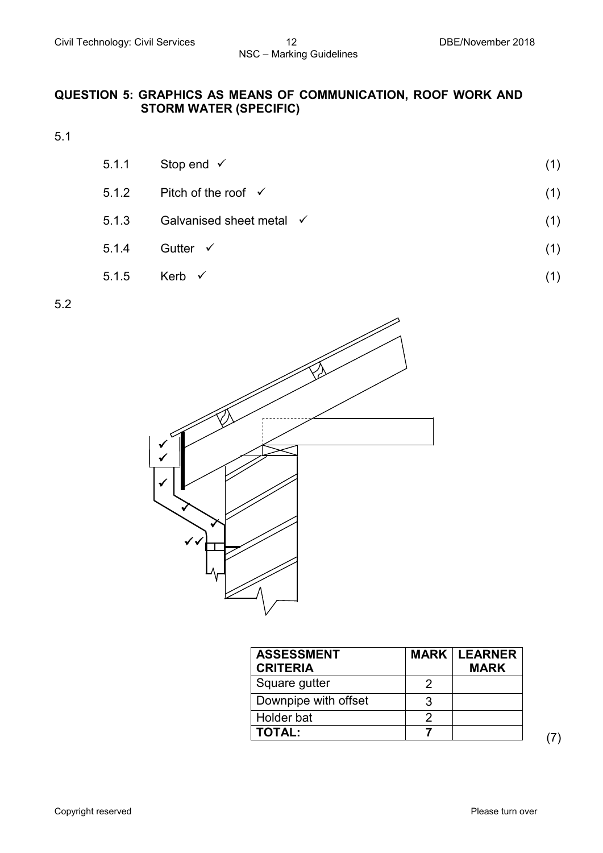#### **QUESTION 5: GRAPHICS AS MEANS OF COMMUNICATION, ROOF WORK AND STORM WATER (SPECIFIC)**

5.1

- 5.1.1 Stop end  $\checkmark$  (1)
- 5.1.2 Pitch of the roof (1)
- 5.1.3 Galvanised sheet metal (1)
- $5.1.4$  Gutter  $\checkmark$  (1)
- $5.1.5$  Kerb  $\checkmark$  (1)

5.2



| <b>ASSESSMENT</b><br><b>CRITERIA</b> | <b>MARK   LEARNER</b><br><b>MARK</b> |  |
|--------------------------------------|--------------------------------------|--|
| Square gutter                        |                                      |  |
| Downpipe with offset                 |                                      |  |
| Holder bat                           |                                      |  |
| <b>TOTAL:</b>                        |                                      |  |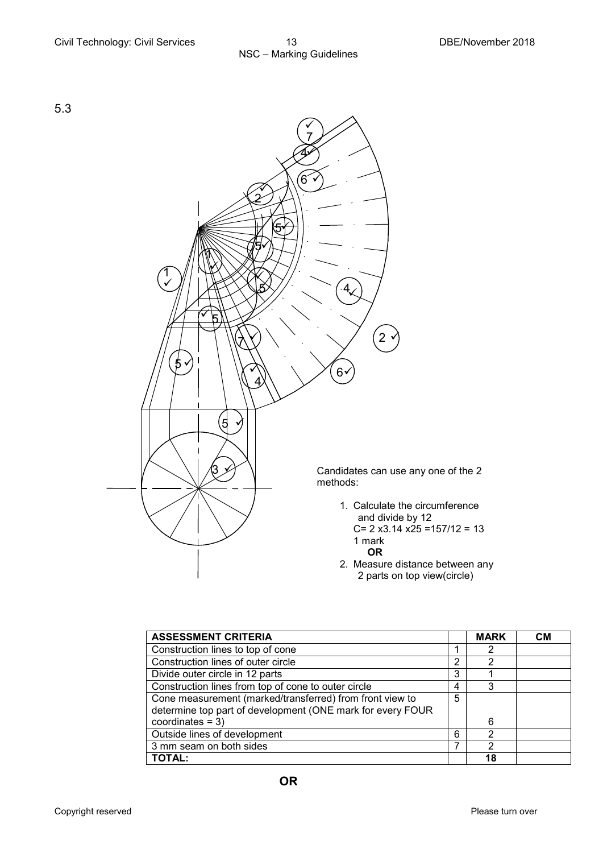

| <b>ASSESSMENT CRITERIA</b>                                 |   | <b>MARK</b> | CМ |
|------------------------------------------------------------|---|-------------|----|
| Construction lines to top of cone                          |   | 2           |    |
| Construction lines of outer circle                         | 2 | 2           |    |
| Divide outer circle in 12 parts                            | 3 |             |    |
| Construction lines from top of cone to outer circle        | 4 | 3           |    |
| Cone measurement (marked/transferred) from front view to   | 5 |             |    |
| determine top part of development (ONE mark for every FOUR |   |             |    |
| coordinates $=$ 3)                                         |   | 6           |    |
| Outside lines of development                               | 6 | 2           |    |
| 3 mm seam on both sides                                    |   | 2           |    |
| <b>TOTAL:</b>                                              |   | 18          |    |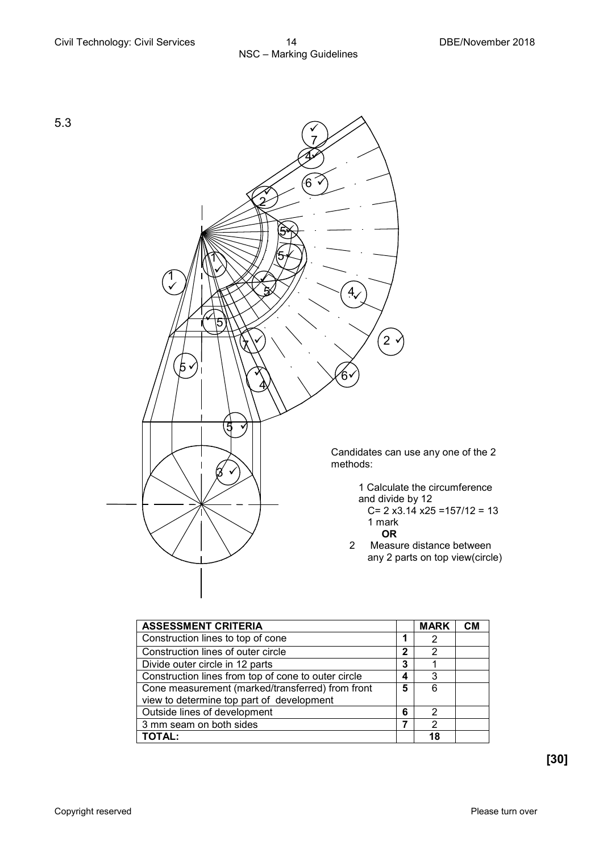

| <b>ASSESSMENT CRITERIA</b>                          |   | <b>MARK</b> | <b>CM</b> |
|-----------------------------------------------------|---|-------------|-----------|
| Construction lines to top of cone                   |   |             |           |
| Construction lines of outer circle                  | 2 | 2           |           |
| Divide outer circle in 12 parts                     | 3 |             |           |
| Construction lines from top of cone to outer circle | 4 | 3           |           |
| Cone measurement (marked/transferred) from front    |   | 6           |           |
| view to determine top part of development           |   |             |           |
| Outside lines of development<br>6                   |   | 2           |           |
| 3 mm seam on both sides                             |   | 2           |           |
| TOTAL:                                              |   | 18          |           |

**[30]**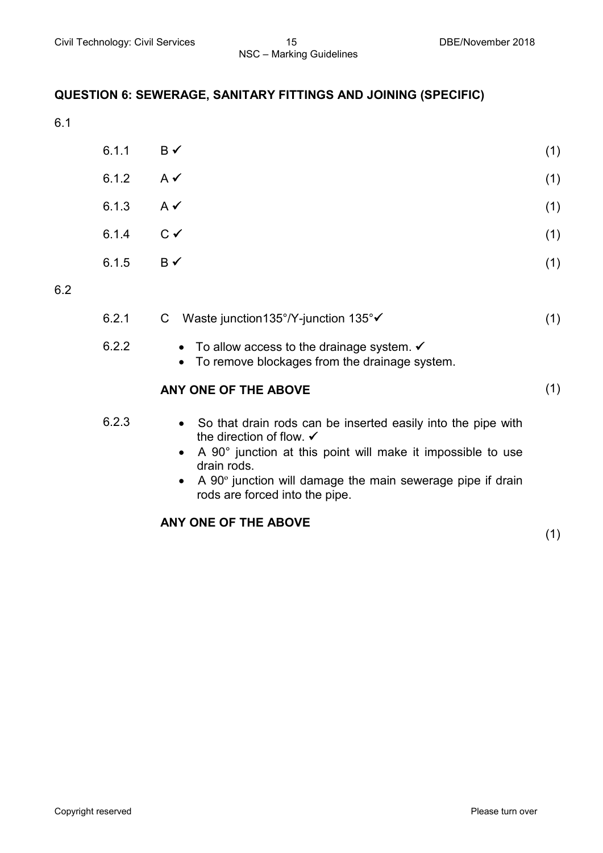#### **QUESTION 6: SEWERAGE, SANITARY FITTINGS AND JOINING (SPECIFIC)**

6.1

| (1)                                                                                                |
|----------------------------------------------------------------------------------------------------|
| (1)                                                                                                |
| (1)                                                                                                |
| (1)                                                                                                |
| (1)                                                                                                |
| $\mathsf{B} \checkmark$<br>6.1.2 $A \checkmark$<br>$A \vee$<br>$C \vee$<br>$\mathsf{B} \checkmark$ |

6.2

| 6.2.1 |  |  | C Waste junction 135°/Y-junction 135° $\checkmark$ |  |  |  |
|-------|--|--|----------------------------------------------------|--|--|--|
| ---   |  |  |                                                    |  |  |  |

- 6.2.2 To allow access to the drainage system.  $\checkmark$ 
	- To remove blockages from the drainage system.

#### **ANY ONE OF THE ABOVE** (1)

6.2.3 • So that drain rods can be inserted easily into the pipe with the direction of flow.  $\checkmark$ 

- A 90° junction at this point will make it impossible to use drain rods.
- A 90º junction will damage the main sewerage pipe if drain rods are forced into the pipe.

#### **ANY ONE OF THE ABOVE**

(1)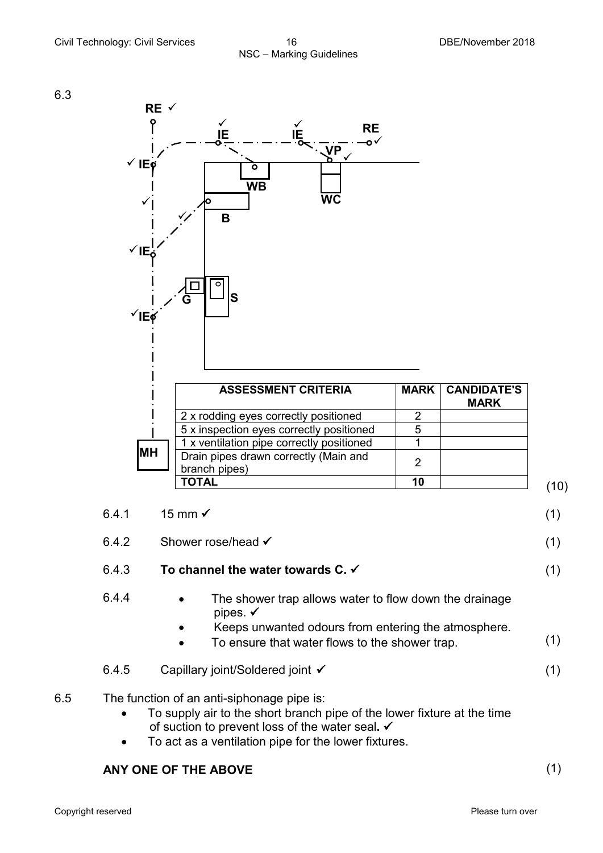6.3



| <b>ASSESSMENT CRITERIA</b>                             | <b>MARK</b> | <b>CANDIDATE'S</b><br><b>MARK</b> |
|--------------------------------------------------------|-------------|-----------------------------------|
| 2 x rodding eyes correctly positioned                  |             |                                   |
| 5 x inspection eyes correctly positioned               |             |                                   |
| 1 x ventilation pipe correctly positioned              |             |                                   |
| Drain pipes drawn correctly (Main and<br>branch pipes) | າ           |                                   |
| TOTAL                                                  | 10          |                                   |

| 6.4.1 | 15 mm $\checkmark$                                                                                                                                                                                                            | (1) |
|-------|-------------------------------------------------------------------------------------------------------------------------------------------------------------------------------------------------------------------------------|-----|
| 6.4.2 | Shower rose/head √                                                                                                                                                                                                            | (1) |
| 6.4.3 | To channel the water towards C. $\checkmark$                                                                                                                                                                                  | (1) |
| 6.4.4 | The shower trap allows water to flow down the drainage<br>$\bullet$<br>pipes. $\checkmark$<br>Keeps unwanted odours from entering the atmosphere.<br>$\bullet$<br>To ensure that water flows to the shower trap.<br>$\bullet$ | (1) |
| 6.4.5 | Capillary joint/Soldered joint √                                                                                                                                                                                              | (1) |
|       | The function of an anti-cinhonage nine is:                                                                                                                                                                                    |     |

6.5 The function of an anti-siphonage pipe is:

- To supply air to the short branch pipe of the lower fixture at the time of suction to prevent loss of the water seal**.**
- To act as a ventilation pipe for the lower fixtures.

#### **ANY ONE OF THE ABOVE** (1)

Copyright reserved **Please** turn over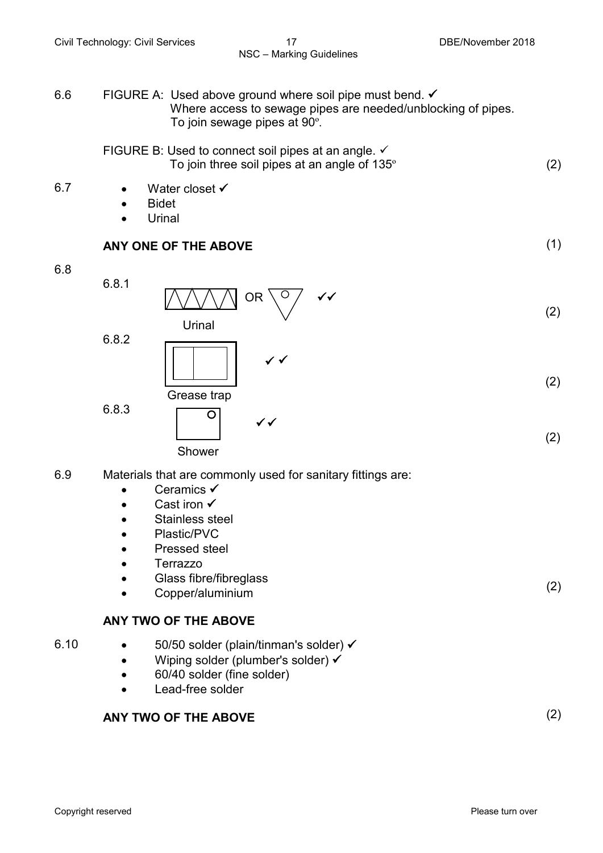6.6 FIGURE A: Used above ground where soil pipe must bend. ✔ Where access to sewage pipes are needed/unblocking of pipes. To join sewage pipes at 90º.

FIGURE B: Used to connect soil pipes at an angle. 
$$
\checkmark
$$
 \nTo join three soil pipes at an angle of 135° \n $(2)$ 

- 6.7 Water closet
	- Bidet
	- **Urinal**

#### **ANY ONE OF THE ABOVE** (1)

#### 6.8



- 6.9 Materials that are commonly used for sanitary fittings are:
	- Ceramics  $\checkmark$
	- Cast iron  $\checkmark$
	- Stainless steel
	- Plastic/PVC
	- Pressed steel
	- Terrazzo
	- Glass fibre/fibreglass
	- Copper/aluminium

#### **ANY TWO OF THE ABOVE**

- 6.10  $50/50$  solder (plain/tinman's solder)  $\checkmark$ 
	- Wiping solder (plumber's solder)  $\checkmark$
	- 60/40 solder (fine solder)
	- Lead-free solder

### **ANY TWO OF THE ABOVE** (2)

(2)